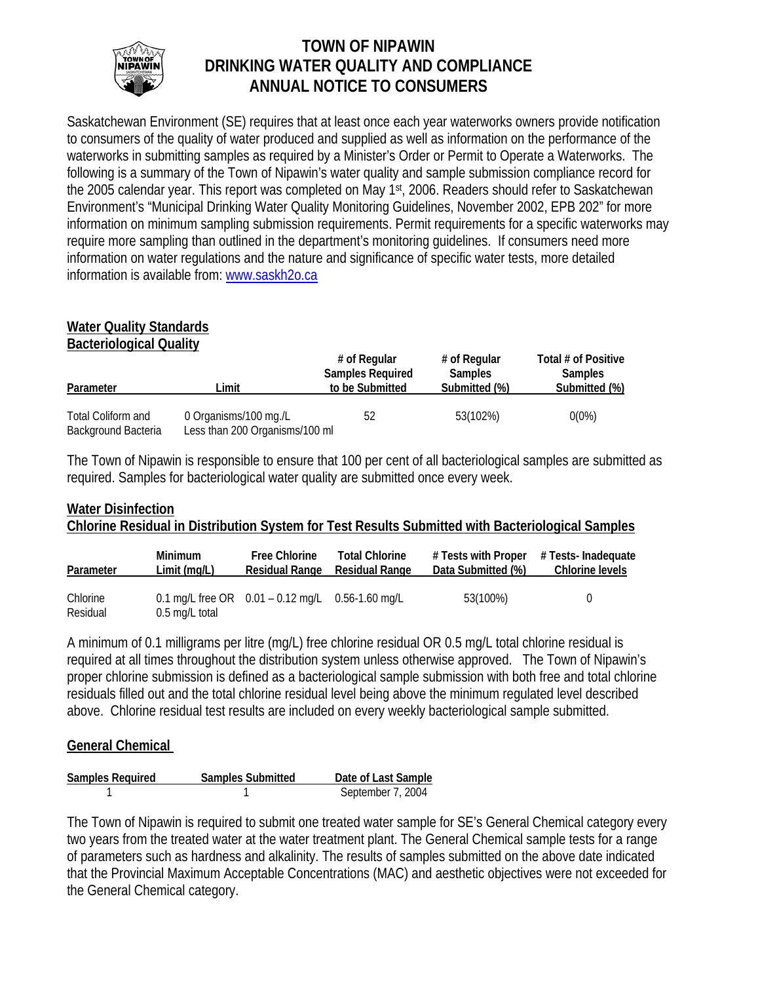

# **TOWN OF NIPAWIN DRINKING WATER QUALITY AND COMPLIANCE ANNUAL NOTICE TO CONSUMERS**

Saskatchewan Environment (SE) requires that at least once each year waterworks owners provide notification to consumers of the quality of water produced and supplied as well as information on the performance of the waterworks in submitting samples as required by a Minister's Order or Permit to Operate a Waterworks. The following is a summary of the Town of Nipawin's water quality and sample submission compliance record for the 2005 calendar year. This report was completed on May 1<sup>st</sup>, 2006. Readers should refer to Saskatchewan Environment's "Municipal Drinking Water Quality Monitoring Guidelines, November 2002, EPB 202" for more information on minimum sampling submission requirements. Permit requirements for a specific waterworks may require more sampling than outlined in the department's monitoring guidelines. If consumers need more information on water regulations and the nature and significance of specific water tests, more detailed information is available from: [www.saskh2o.ca](http://www.saskh2o.ca/)

## **Water Quality Standards Bacteriological Quality**

|                                           |                                                         | # of Regular<br><b>Samples Required</b> | # of Regular<br><b>Samples</b> | Total # of Positive<br><b>Samples</b> |  |
|-------------------------------------------|---------------------------------------------------------|-----------------------------------------|--------------------------------|---------------------------------------|--|
| Parameter                                 | ∟imit                                                   | to be Submitted                         | Submitted (%)                  | Submitted (%)                         |  |
| Total Coliform and<br>Background Bacteria | 0 Organisms/100 mg./L<br>Less than 200 Organisms/100 ml | 52                                      | 53(102%)                       | $0(0\%)$                              |  |

The Town of Nipawin is responsible to ensure that 100 per cent of all bacteriological samples are submitted as required. Samples for bacteriological water quality are submitted once every week.

# **Water Disinfection Chlorine Residual in Distribution System for Test Results Submitted with Bacteriological Samples**

| Parameter            | <b>Minimum</b><br>Limit(mq/L) | <b>Free Chlorine</b><br>Residual Range                 | <b>Total Chlorine</b><br>Residual Range | Data Submitted (%) | $#$ Tests with Proper $#$ Tests-Inadequate<br>Chlorine levels |
|----------------------|-------------------------------|--------------------------------------------------------|-----------------------------------------|--------------------|---------------------------------------------------------------|
| Chlorine<br>Residual | 0.5 mg/L total                | 0.1 mg/L free OR $0.01 - 0.12$ mg/L $0.56 - 1.60$ mg/L |                                         | 53(100%)           |                                                               |

A minimum of 0.1 milligrams per litre (mg/L) free chlorine residual OR 0.5 mg/L total chlorine residual is required at all times throughout the distribution system unless otherwise approved. The Town of Nipawin's proper chlorine submission is defined as a bacteriological sample submission with both free and total chlorine residuals filled out and the total chlorine residual level being above the minimum regulated level described above. Chlorine residual test results are included on every weekly bacteriological sample submitted.

# **General Chemical**

| <b>Samples Required</b> | <b>Samples Submitted</b> | Date of Last Sample |
|-------------------------|--------------------------|---------------------|
|                         |                          | September 7, 2004   |

The Town of Nipawin is required to submit one treated water sample for SE's General Chemical category every two years from the treated water at the water treatment plant. The General Chemical sample tests for a range of parameters such as hardness and alkalinity. The results of samples submitted on the above date indicated that the Provincial Maximum Acceptable Concentrations (MAC) and aesthetic objectives were not exceeded for the General Chemical category.